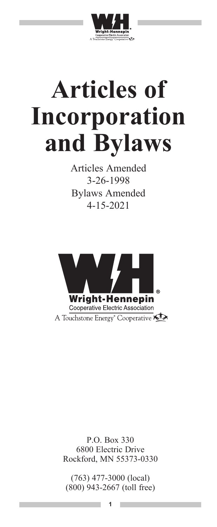

# **Articles of Incorporation and Bylaws**

Articles Amended 3-26-1998 Bylaws Amended 4-15-2021



P.O. Box 330 6800 Electric Drive Rockford, MN 55373-0330

(763) 477-3000 (local) (800) 943-2667 (toll free)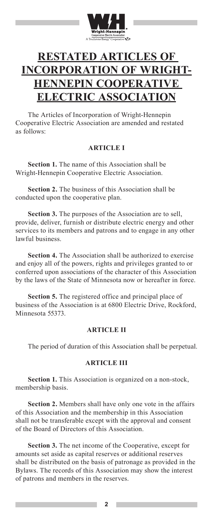

## **RESTATED ARTICLES OF INCORPORATION OF WRIGHT-HENNEPIN COOPERATIVE ELECTRIC ASSOCIATION**

The Articles of Incorporation of Wright-Hennepin Cooperative Electric Association are amended and restated as follows:

#### **ARTICLE I**

**Section 1.** The name of this Association shall be Wright-Hennepin Cooperative Electric Association.

**Section 2.** The business of this Association shall be conducted upon the cooperative plan.

**Section 3.** The purposes of the Association are to sell, provide, deliver, furnish or distribute electric energy and other services to its members and patrons and to engage in any other lawful business.

**Section 4.** The Association shall be authorized to exercise and enjoy all of the powers, rights and privileges granted to or conferred upon associations of the character of this Association by the laws of the State of Minnesota now or hereafter in force.

**Section 5.** The registered office and principal place of business of the Association is at 6800 Electric Drive, Rockford, Minnesota 55373.

#### **ARTICLE II**

The period of duration of this Association shall be perpetual.

#### **ARTICLE III**

**Section 1.** This Association is organized on a non-stock, membership basis.

**Section 2.** Members shall have only one vote in the affairs of this Association and the membership in this Association shall not be transferable except with the approval and consent of the Board of Directors of this Association.

**Section 3.** The net income of the Cooperative, except for amounts set aside as capital reserves or additional reserves shall be distributed on the basis of patronage as provided in the Bylaws. The records of this Association may show the interest of patrons and members in the reserves.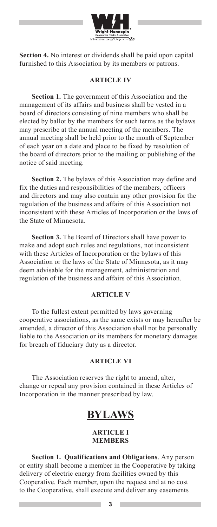

**Section 4.** No interest or dividends shall be paid upon capital furnished to this Association by its members or patrons.

#### **ARTICLE IV**

**Section 1.** The government of this Association and the management of its affairs and business shall be vested in a board of directors consisting of nine members who shall be elected by ballot by the members for such terms as the bylaws may prescribe at the annual meeting of the members. The annual meeting shall be held prior to the month of September of each year on a date and place to be fixed by resolution of the board of directors prior to the mailing or publishing of the notice of said meeting.

**Section 2.** The bylaws of this Association may define and fix the duties and responsibilities of the members, officers and directors and may also contain any other provision for the regulation of the business and affairs of this Association not inconsistent with these Articles of Incorporation or the laws of the State of Minnesota.

**Section 3.** The Board of Directors shall have power to make and adopt such rules and regulations, not inconsistent with these Articles of Incorporation or the bylaws of this Association or the laws of the State of Minnesota, as it may deem advisable for the management, administration and regulation of the business and affairs of this Association.

#### **ARTICLE V**

To the fullest extent permitted by laws governing cooperative associations, as the same exists or may hereafter be amended, a director of this Association shall not be personally liable to the Association or its members for monetary damages for breach of fiduciary duty as a director.

#### **ARTICLE VI**

The Association reserves the right to amend, alter, change or repeal any provision contained in these Articles of Incorporation in the manner prescribed by law.

### **BYLAWS**

#### **ARTICLE I MEMBERS**

**Section 1. Qualifications and Obligations**. Any person or entity shall become a member in the Cooperative by taking delivery of electric energy from facilities owned by this Cooperative. Each member, upon the request and at no cost to the Cooperative, shall execute and deliver any easements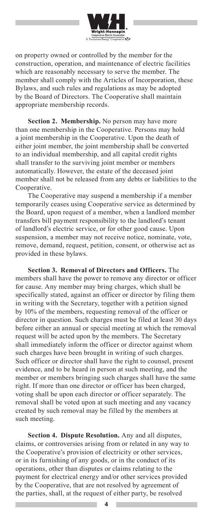

on property owned or controlled by the member for the construction, operation, and maintenance of electric facilities which are reasonably necessary to serve the member. The member shall comply with the Articles of Incorporation, these Bylaws, and such rules and regulations as may be adopted by the Board of Directors. The Cooperative shall maintain appropriate membership records.

**Section 2. Membership.** No person may have more than one membership in the Cooperative. Persons may hold a joint membership in the Cooperative. Upon the death of either joint member, the joint membership shall be converted to an individual membership, and all capital credit rights shall transfer to the surviving joint member or members automatically. However, the estate of the deceased joint member shall not be released from any debts or liabilities to the Cooperative.

The Cooperative may suspend a membership if a member temporarily ceases using Cooperative service as determined by the Board, upon request of a member, when a landlord member transfers bill payment responsibility to the landlord's tenant of landlord's electric service, or for other good cause. Upon suspension, a member may not receive notice, nominate, vote, remove, demand, request, petition, consent, or otherwise act as provided in these bylaws.

**Section 3. Removal of Directors and Officers.** The members shall have the power to remove any director or officer for cause. Any member may bring charges, which shall be specifically stated, against an officer or director by filing them in writing with the Secretary, together with a petition signed by 10% of the members, requesting removal of the officer or director in question. Such charges must be filed at least 30 days before either an annual or special meeting at which the removal request will be acted upon by the members. The Secretary shall immediately inform the officer or director against whom such charges have been brought in writing of such charges. Such officer or director shall have the right to counsel, present evidence, and to be heard in person at such meeting, and the member or members bringing such charges shall have the same right. If more than one director or officer has been charged, voting shall be upon each director or officer separately. The removal shall be voted upon at such meeting and any vacancy created by such removal may be filled by the members at such meeting.

**Section 4. Dispute Resolution.** Any and all disputes, claims, or controversies arising from or related in any way to the Cooperative's provision of electricity or other services, or in its furnishing of any goods, or in the conduct of its operations, other than disputes or claims relating to the payment for electrical energy and/or other services provided by the Cooperative, that are not resolved by agreement of the parties, shall, at the request of either party, be resolved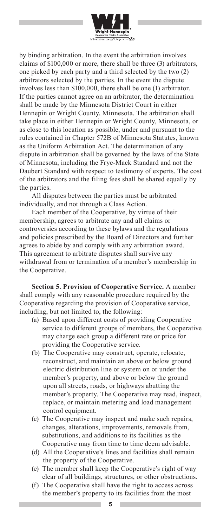

by binding arbitration. In the event the arbitration involves claims of \$100,000 or more, there shall be three (3) arbitrators, one picked by each party and a third selected by the two (2) arbitrators selected by the parties. In the event the dispute involves less than \$100,000, there shall be one (1) arbitrator. If the parties cannot agree on an arbitrator, the determination shall be made by the Minnesota District Court in either Hennepin or Wright County, Minnesota. The arbitration shall take place in either Hennepin or Wright County, Minnesota, or as close to this location as possible, under and pursuant to the rules contained in Chapter 572B of Minnesota Statutes, known as the Uniform Arbitration Act. The determination of any dispute in arbitration shall be governed by the laws of the State of Minnesota, including the Frye-Mack Standard and not the Daubert Standard with respect to testimony of experts. The cost of the arbitrators and the filing fees shall be shared equally by the parties.

All disputes between the parties must be arbitrated individually, and not through a Class Action.

Each member of the Cooperative, by virtue of their membership, agrees to arbitrate any and all claims or controversies according to these bylaws and the regulations and policies prescribed by the Board of Directors and further agrees to abide by and comply with any arbitration award. This agreement to arbitrate disputes shall survive any withdrawal from or termination of a member's membership in the Cooperative.

**Section 5. Provision of Cooperative Service.** A member shall comply with any reasonable procedure required by the Cooperative regarding the provision of Cooperative service, including, but not limited to, the following:

- (a) Based upon different costs of providing Cooperative service to different groups of members, the Cooperative may charge each group a different rate or price for providing the Cooperative service.
- (b) The Cooperative may construct, operate, relocate, reconstruct, and maintain an above or below ground electric distribution line or system on or under the member's property, and above or below the ground upon all streets, roads, or highways abutting the member's property. The Cooperative may read, inspect, replace, or maintain metering and load management control equipment.
- (c) The Cooperative may inspect and make such repairs, changes, alterations, improvements, removals from, substitutions, and additions to its facilities as the Cooperative may from time to time deem advisable.
- (d) All the Cooperative's lines and facilities shall remain the property of the Cooperative.
- (e) The member shall keep the Cooperative's right of way clear of all buildings, structures, or other obstructions.
- (f) The Cooperative shall have the right to access across the member's property to its facilities from the most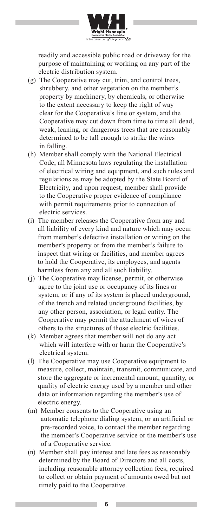

readily and accessible public road or driveway for the purpose of maintaining or working on any part of the electric distribution system.

- (g) The Cooperative may cut, trim, and control trees, shrubbery, and other vegetation on the member's property by machinery, by chemicals, or otherwise to the extent necessary to keep the right of way clear for the Cooperative's line or system, and the Cooperative may cut down from time to time all dead, weak, leaning, or dangerous trees that are reasonably determined to be tall enough to strike the wires in falling.
- (h) Member shall comply with the National Electrical Code, all Minnesota laws regulating the installation of electrical wiring and equipment, and such rules and regulations as may be adopted by the State Board of Electricity, and upon request, member shall provide to the Cooperative proper evidence of compliance with permit requirements prior to connection of electric services.
- (i) The member releases the Cooperative from any and all liability of every kind and nature which may occur from member's defective installation or wiring on the member's property or from the member's failure to inspect that wiring or facilities, and member agrees to hold the Cooperative, its employees, and agents harmless from any and all such liability.
- (j) The Cooperative may license, permit, or otherwise agree to the joint use or occupancy of its lines or system, or if any of its system is placed underground, of the trench and related underground facilities, by any other person, association, or legal entity. The Cooperative may permit the attachment of wires of others to the structures of those electric facilities.
- (k) Member agrees that member will not do any act which will interfere with or harm the Cooperative's electrical system.
- (l) The Cooperative may use Cooperative equipment to measure, collect, maintain, transmit, communicate, and store the aggregate or incremental amount, quantity, or quality of electric energy used by a member and other data or information regarding the member's use of electric energy.
- (m) Member consents to the Cooperative using an automatic telephone dialing system, or an artificial or pre-recorded voice, to contact the member regarding the member's Cooperative service or the member's use of a Cooperative service.
- (n) Member shall pay interest and late fees as reasonably determined by the Board of Directors and all costs, including reasonable attorney collection fees, required to collect or obtain payment of amounts owed but not timely paid to the Cooperative.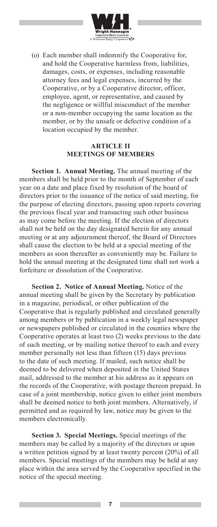

(o) Each member shall indemnify the Cooperative for, and hold the Cooperative harmless from, liabilities, damages, costs, or expenses, including reasonable attorney fees and legal expenses, incurred by the Cooperative, or by a Cooperative director, officer, employee, agent, or representative, and caused by the negligence or willful misconduct of the member or a non-member occupying the same location as the member, or by the unsafe or defective condition of a location occupied by the member.

#### **ARTICLE II MEETINGS OF MEMBERS**

**Section 1. Annual Meeting.** The annual meeting of the members shall be held prior to the month of September of each year on a date and place fixed by resolution of the board of directors prior to the issuance of the notice of said meeting, for the purpose of electing directors, passing upon reports covering the previous fiscal year and transacting such other business as may come before the meeting. If the election of directors shall not be held on the day designated herein for any annual meeting or at any adjournment thereof, the Board of Directors shall cause the election to be held at a special meeting of the members as soon thereafter as conveniently may be. Failure to hold the annual meeting at the designated time shall not work a forfeiture or dissolution of the Cooperative.

**Section 2. Notice of Annual Meeting.** Notice of the annual meeting shall be given by the Secretary by publication in a magazine, periodical, or other publication of the Cooperative that is regularly published and circulated generally among members or by publication in a weekly legal newspaper or newspapers published or circulated in the counties where the Cooperative operates at least two (2) weeks previous to the date of such meeting, or by mailing notice thereof to each and every member personally not less than fifteen (15) days previous to the date of such meeting. If mailed, such notice shall be deemed to be delivered when deposited in the United States mail, addressed to the member at his address as it appears on the records of the Cooperative, with postage thereon prepaid. In case of a joint membership, notice given to either joint members shall be deemed notice to both joint members. Alternatively, if permitted and as required by law, notice may be given to the members electronically.

**Section 3. Special Meetings.** Special meetings of the members may be called by a majority of the directors or upon a written petition signed by at least twenty percent (20%) of all members. Special meetings of the members may be held at any place within the area served by the Cooperative specified in the notice of the special meeting.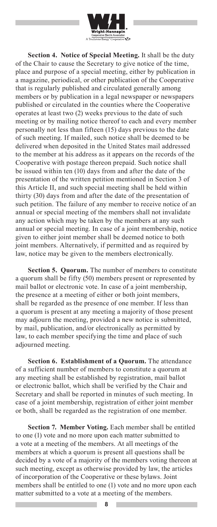

**Section 4. Notice of Special Meeting.** It shall be the duty of the Chair to cause the Secretary to give notice of the time, place and purpose of a special meeting, either by publication in a magazine, periodical, or other publication of the Cooperative that is regularly published and circulated generally among members or by publication in a legal newspaper or newspapers published or circulated in the counties where the Cooperative operates at least two (2) weeks previous to the date of such meeting or by mailing notice thereof to each and every member personally not less than fifteen (15) days previous to the date of such meeting. If mailed, such notice shall be deemed to be delivered when deposited in the United States mail addressed to the member at his address as it appears on the records of the Cooperative with postage thereon prepaid. Such notice shall be issued within ten (10) days from and after the date of the presentation of the written petition mentioned in Section 3 of this Article II, and such special meeting shall be held within thirty (30) days from and after the date of the presentation of such petition. The failure of any member to receive notice of an annual or special meeting of the members shall not invalidate any action which may be taken by the members at any such annual or special meeting. In case of a joint membership, notice given to either joint member shall be deemed notice to both joint members. Alternatively, if permitted and as required by law, notice may be given to the members electronically.

**Section 5. Quorum.** The number of members to constitute a quorum shall be fifty (50) members present or represented by mail ballot or electronic vote. In case of a joint membership, the presence at a meeting of either or both joint members, shall be regarded as the presence of one member. If less than a quorum is present at any meeting a majority of those present may adjourn the meeting, provided a new notice is submitted, by mail, publication, and/or electronically as permitted by law, to each member specifying the time and place of such adjourned meeting.

**Section 6. Establishment of a Quorum.** The attendance of a sufficient number of members to constitute a quorum at any meeting shall be established by registration, mail ballot or electronic ballot, which shall be verified by the Chair and Secretary and shall be reported in minutes of such meeting. In case of a joint membership, registration of either joint member or both, shall be regarded as the registration of one member.

**Section 7. Member Voting.** Each member shall be entitled to one (1) vote and no more upon each matter submitted to a vote at a meeting of the members. At all meetings of the members at which a quorum is present all questions shall be decided by a vote of a majority of the members voting thereon at such meeting, except as otherwise provided by law, the articles of incorporation of the Cooperative or these bylaws. Joint members shall be entitled to one (1) vote and no more upon each matter submitted to a vote at a meeting of the members.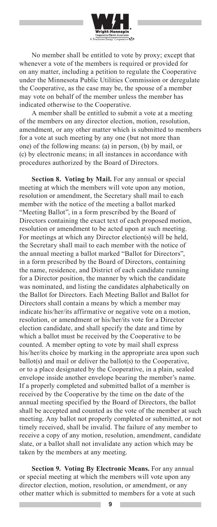

No member shall be entitled to vote by proxy; except that whenever a vote of the members is required or provided for on any matter, including a petition to regulate the Cooperative under the Minnesota Public Utilities Commission or deregulate the Cooperative, as the case may be, the spouse of a member may vote on behalf of the member unless the member has indicated otherwise to the Cooperative.

A member shall be entitled to submit a vote at a meeting of the members on any director election, motion, resolution, amendment, or any other matter which is submitted to members for a vote at such meeting by any one (but not more than one) of the following means: (a) in person, (b) by mail, or (c) by electronic means; in all instances in accordance with procedures authorized by the Board of Directors.

**Section 8. Voting by Mail.** For any annual or special meeting at which the members will vote upon any motion, resolution or amendment, the Secretary shall mail to each member with the notice of the meeting a ballot marked "Meeting Ballot", in a form prescribed by the Board of Directors containing the exact text of each proposed motion, resolution or amendment to be acted upon at such meeting. For meetings at which any Director election(s) will be held, the Secretary shall mail to each member with the notice of the annual meeting a ballot marked "Ballot for Directors", in a form prescribed by the Board of Directors, containing the name, residence, and District of each candidate running for a Director position, the manner by which the candidate was nominated, and listing the candidates alphabetically on the Ballot for Directors. Each Meeting Ballot and Ballot for Directors shall contain a means by which a member may indicate his/her/its affirmative or negative vote on a motion, resolution, or amendment or his/her/its vote for a Director election candidate, and shall specify the date and time by which a ballot must be received by the Cooperative to be counted. A member opting to vote by mail shall express his/her/its choice by marking in the appropriate area upon such ballot(s) and mail or deliver the ballot(s) to the Cooperative, or to a place designated by the Cooperative, in a plain, sealed envelope inside another envelope bearing the member's name. If a properly completed and submitted ballot of a member is received by the Cooperative by the time on the date of the annual meeting specified by the Board of Directors, the ballot shall be accepted and counted as the vote of the member at such meeting. Any ballot not properly completed or submitted, or not timely received, shall be invalid. The failure of any member to receive a copy of any motion, resolution, amendment, candidate slate, or a ballot shall not invalidate any action which may be taken by the members at any meeting.

**Section 9. Voting By Electronic Means.** For any annual or special meeting at which the members will vote upon any director election, motion, resolution, or amendment, or any other matter which is submitted to members for a vote at such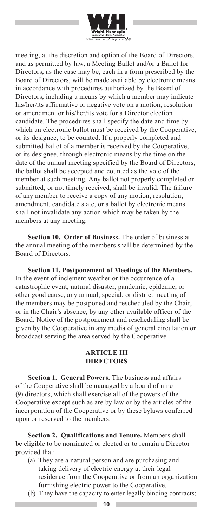

meeting, at the discretion and option of the Board of Directors, and as permitted by law, a Meeting Ballot and/or a Ballot for Directors, as the case may be, each in a form prescribed by the Board of Directors, will be made available by electronic means in accordance with procedures authorized by the Board of Directors, including a means by which a member may indicate his/her/its affirmative or negative vote on a motion, resolution or amendment or his/her/its vote for a Director election candidate. The procedures shall specify the date and time by which an electronic ballot must be received by the Cooperative, or its designee, to be counted. If a properly completed and submitted ballot of a member is received by the Cooperative, or its designee, through electronic means by the time on the date of the annual meeting specified by the Board of Directors, the ballot shall be accepted and counted as the vote of the member at such meeting. Any ballot not properly completed or submitted, or not timely received, shall be invalid. The failure of any member to receive a copy of any motion, resolution, amendment, candidate slate, or a ballot by electronic means shall not invalidate any action which may be taken by the members at any meeting.

**Section 10. Order of Business.** The order of business at the annual meeting of the members shall be determined by the Board of Directors.

**Section 11. Postponement of Meetings of the Members.** In the event of inclement weather or the occurrence of a catastrophic event, natural disaster, pandemic, epidemic, or other good cause, any annual, special, or district meeting of the members may be postponed and rescheduled by the Chair, or in the Chair's absence, by any other available officer of the Board. Notice of the postponement and rescheduling shall be given by the Cooperative in any media of general circulation or broadcast serving the area served by the Cooperative.

#### **ARTICLE III DIRECTORS**

**Section 1. General Powers.** The business and affairs of the Cooperative shall be managed by a board of nine (9) directors, which shall exercise all of the powers of the Cooperative except such as are by law or by the articles of the incorporation of the Cooperative or by these bylaws conferred upon or reserved to the members.

**Section 2. Qualifications and Tenure.** Members shall be eligible to be nominated or elected or to remain a Director provided that:

- (a) They are a natural person and are purchasing and taking delivery of electric energy at their legal residence from the Cooperative or from an organization furnishing electric power to the Cooperative,
- (b) They have the capacity to enter legally binding contracts;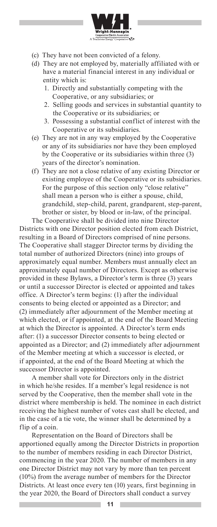

- (c) They have not been convicted of a felony.
- (d) They are not employed by, materially affiliated with or have a material financial interest in any individual or entity which is:
	- 1. Directly and substantially competing with the Cooperative, or any subsidiaries; or
	- 2. Selling goods and services in substantial quantity to the Cooperative or its subsidiaries; or
	- 3. Possessing a substantial conflict of interest with the Cooperative or its subsidiaries.
- (e) They are not in any way employed by the Cooperative or any of its subsidiaries nor have they been employed by the Cooperative or its subsidiaries within three (3) years of the director's nomination.
- (f) They are not a close relative of any existing Director or existing employee of the Cooperative or its subsidiaries. For the purpose of this section only "close relative" shall mean a person who is either a spouse, child, grandchild, step-child, parent, grandparent, step-parent, brother or sister, by blood or in-law, of the principal.

The Cooperative shall be divided into nine Director Districts with one Director position elected from each District, resulting in a Board of Directors comprised of nine persons. The Cooperative shall stagger Director terms by dividing the total number of authorized Directors (nine) into groups of approximately equal number. Members must annually elect an approximately equal number of Directors. Except as otherwise provided in these Bylaws, a Director's term is three (3) years or until a successor Director is elected or appointed and takes office. A Director's term begins: (1) after the individual consents to being elected or appointed as a Director; and (2) immediately after adjournment of the Member meeting at which elected, or if appointed, at the end of the Board Meeting at which the Director is appointed. A Director's term ends after: (1) a successor Director consents to being elected or appointed as a Director; and (2) immediately after adjournment of the Member meeting at which a successor is elected, or if appointed, at the end of the Board Meeting at which the successor Director is appointed.

A member shall vote for Directors only in the district in which he/she resides. If a member's legal residence is not served by the Cooperative, then the member shall vote in the district where membership is held. The nominee in each district receiving the highest number of votes cast shall be elected, and in the case of a tie vote, the winner shall be determined by a flip of a coin.

Representation on the Board of Directors shall be apportioned equally among the Director Districts in proportion to the number of members residing in each Director District, commencing in the year 2020. The number of members in any one Director District may not vary by more than ten percent (10%) from the average number of members for the Director Districts. At least once every ten (10) years, first beginning in the year 2020, the Board of Directors shall conduct a survey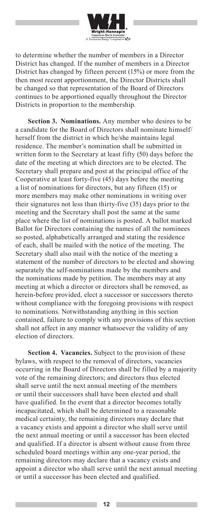

to determine whether the number of members in a Director District has changed. If the number of members in a Director District has changed by fifteen percent (15%) or more from the then most recent apportionment, the Director Districts shall be changed so that representation of the Board of Directors continues to be apportioned equally throughout the Director Districts in proportion to the membership.

**Section 3. Nominations.** Any member who desires to be a candidate for the Board of Directors shall nominate himself/ herself from the district in which he/she maintains legal residence. The member's nomination shall be submitted in written form to the Secretary at least fifty (50) days before the date of the meeting at which directors are to be elected. The Secretary shall prepare and post at the principal office of the Cooperative at least forty-five (45) days before the meeting a list of nominations for directors, but any fifteen (15) or more members may make other nominations in writing over their signatures not less than thirty-five (35) days prior to the meeting and the Secretary shall post the same at the same place where the list of nominations is posted. A ballot marked Ballot for Directors containing the names of all the nominees so posted, alphabetically arranged and stating the residence of each, shall be mailed with the notice of the meeting. The Secretary shall also mail with the notice of the meeting a statement of the number of directors to be elected and showing separately the self-nominations made by the members and the nominations made by petition. The members may at any meeting at which a director or directors shall be removed, as herein-before provided, elect a successor or successors thereto without compliance with the foregoing provisions with respect to nominations. Notwithstanding anything in this section contained, failure to comply with any provisions of this section shall not affect in any manner whatsoever the validity of any election of directors.

**Section 4. Vacancies.** Subject to the provision of these bylaws, with respect to the removal of directors, vacancies occurring in the Board of Directors shall be filled by a majority vote of the remaining directors; and directors thus elected shall serve until the next annual meeting of the members or until their successors shall have been elected and shall have qualified. In the event that a director becomes totally incapacitated, which shall be determined to a reasonable medical certainty, the remaining directors may declare that a vacancy exists and appoint a director who shall serve until the next annual meeting or until a successor has been elected and qualified. If a director is absent without cause from three scheduled board meetings within any one-year period, the remaining directors may declare that a vacancy exists and appoint a director who shall serve until the next annual meeting or until a successor has been elected and qualified.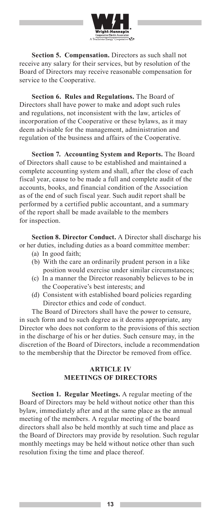

**Section 5. Compensation.** Directors as such shall not receive any salary for their services, but by resolution of the Board of Directors may receive reasonable compensation for service to the Cooperative.

**Section 6. Rules and Regulations.** The Board of Directors shall have power to make and adopt such rules and regulations, not inconsistent with the law, articles of incorporation of the Cooperative or these bylaws, as it may deem advisable for the management, administration and regulation of the business and affairs of the Cooperative.

**Section 7. Accounting System and Reports.** The Board of Directors shall cause to be established and maintained a complete accounting system and shall, after the close of each fiscal year, cause to be made a full and complete audit of the accounts, books, and financial condition of the Association as of the end of such fiscal year. Such audit report shall be performed by a certified public accountant, and a summary of the report shall be made available to the members for inspection.

**Section 8. Director Conduct.** A Director shall discharge his or her duties, including duties as a board committee member:

- (a) In good faith;
- (b) With the care an ordinarily prudent person in a like position would exercise under similar circumstances;
- (c) In a manner the Director reasonably believes to be in the Cooperative's best interests; and
- (d) Consistent with established board policies regarding Director ethics and code of conduct.

The Board of Directors shall have the power to censure, in such form and to such degree as it deems appropriate, any Director who does not conform to the provisions of this section in the discharge of his or her duties. Such censure may, in the discretion of the Board of Directors, include a recommendation to the membership that the Director be removed from office.

#### **ARTICLE IV MEETINGS OF DIRECTORS**

**Section 1. Regular Meetings.** A regular meeting of the Board of Directors may be held without notice other than this bylaw, immediately after and at the same place as the annual meeting of the members. A regular meeting of the board directors shall also be held monthly at such time and place as the Board of Directors may provide by resolution. Such regular monthly meetings may be held without notice other than such resolution fixing the time and place thereof.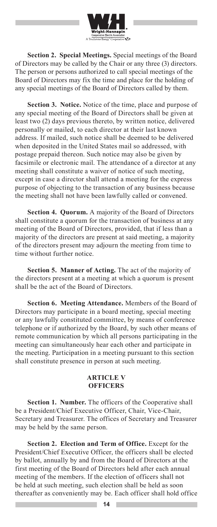

**Section 2. Special Meetings.** Special meetings of the Board of Directors may be called by the Chair or any three (3) directors. The person or persons authorized to call special meetings of the Board of Directors may fix the time and place for the holding of any special meetings of the Board of Directors called by them.

**Section 3. Notice.** Notice of the time, place and purpose of any special meeting of the Board of Directors shall be given at least two (2) days previous thereto, by written notice, delivered personally or mailed, to each director at their last known address. If mailed, such notice shall be deemed to be delivered when deposited in the United States mail so addressed, with postage prepaid thereon. Such notice may also be given by facsimile or electronic mail. The attendance of a director at any meeting shall constitute a waiver of notice of such meeting, except in case a director shall attend a meeting for the express purpose of objecting to the transaction of any business because the meeting shall not have been lawfully called or convened.

**Section 4. Quorum.** A majority of the Board of Directors shall constitute a quorum for the transaction of business at any meeting of the Board of Directors, provided, that if less than a majority of the directors are present at said meeting, a majority of the directors present may adjourn the meeting from time to time without further notice.

**Section 5. Manner of Acting.** The act of the majority of the directors present at a meeting at which a quorum is present shall be the act of the Board of Directors.

**Section 6. Meeting Attendance.** Members of the Board of Directors may participate in a board meeting, special meeting or any lawfully constituted committee, by means of conference telephone or if authorized by the Board, by such other means of remote communication by which all persons participating in the meeting can simultaneously hear each other and participate in the meeting. Participation in a meeting pursuant to this section shall constitute presence in person at such meeting.

#### **ARTICLE V OFFICERS**

**Section 1. Number.** The officers of the Cooperative shall be a President/Chief Executive Officer, Chair, Vice-Chair, Secretary and Treasurer. The offices of Secretary and Treasurer may be held by the same person.

**Section 2. Election and Term of Office.** Except for the President/Chief Executive Officer, the officers shall be elected by ballot, annually by and from the Board of Directors at the first meeting of the Board of Directors held after each annual meeting of the members. If the election of officers shall not be held at such meeting, such election shall be held as soon thereafter as conveniently may be. Each officer shall hold office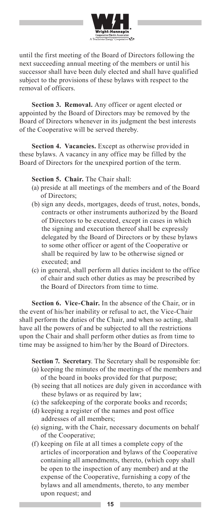

until the first meeting of the Board of Directors following the next succeeding annual meeting of the members or until his successor shall have been duly elected and shall have qualified subject to the provisions of these bylaws with respect to the removal of officers.

**Section 3. Removal.** Any officer or agent elected or appointed by the Board of Directors may be removed by the Board of Directors whenever in its judgment the best interests of the Cooperative will be served thereby.

**Section 4. Vacancies.** Except as otherwise provided in these bylaws. A vacancy in any office may be filled by the Board of Directors for the unexpired portion of the term.

#### **Section 5. Chair.** The Chair shall:

- (a) preside at all meetings of the members and of the Board of Directors;
- (b) sign any deeds, mortgages, deeds of trust, notes, bonds, contracts or other instruments authorized by the Board of Directors to be executed, except in cases in which the signing and execution thereof shall be expressly delegated by the Board of Directors or by these bylaws to some other officer or agent of the Cooperative or shall be required by law to be otherwise signed or executed; and
- (c) in general, shall perform all duties incident to the office of chair and such other duties as may be prescribed by the Board of Directors from time to time.

**Section 6. Vice-Chair.** In the absence of the Chair, or in the event of his/her inability or refusal to act, the Vice-Chair shall perform the duties of the Chair, and when so acting, shall have all the powers of and be subjected to all the restrictions upon the Chair and shall perform other duties as from time to time may be assigned to him/her by the Board of Directors.

**Section 7. Secretary**. The Secretary shall be responsible for:

- (a) keeping the minutes of the meetings of the members and of the board in books provided for that purpose;
- (b) seeing that all notices are duly given in accordance with these bylaws or as required by law;
- (c) the safekeeping of the corporate books and records;
- (d) keeping a register of the names and post office addresses of all members;
- (e) signing, with the Chair, necessary documents on behalf of the Cooperative;
- (f) keeping on file at all times a complete copy of the articles of incorporation and bylaws of the Cooperative containing all amendments, thereto, (which copy shall be open to the inspection of any member) and at the expense of the Cooperative, furnishing a copy of the bylaws and all amendments, thereto, to any member upon request; and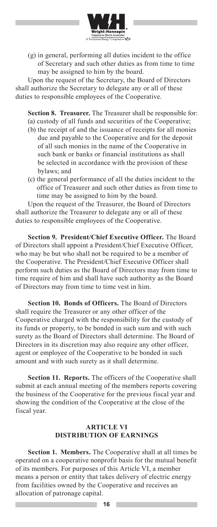

(g) in general, performing all duties incident to the office of Secretary and such other duties as from time to time may be assigned to him by the board.

Upon the request of the Secretary, the Board of Directors shall authorize the Secretary to delegate any or all of these duties to responsible employees of the Cooperative.

**Section 8. Treasurer.** The Treasurer shall be responsible for: (a) custody of all funds and securities of the Cooperative;

- (b) the receipt of and the issuance of receipts for all monies due and payable to the Cooperative and for the deposit of all such monies in the name of the Cooperative in such bank or banks or financial institutions as shall be selected in accordance with the provision of these bylaws; and
- (c) the general performance of all the duties incident to the office of Treasurer and such other duties as from time to time may be assigned to him by the board.

Upon the request of the Treasurer, the Board of Directors shall authorize the Treasurer to delegate any or all of these duties to responsible employees of the Cooperative.

**Section 9. President/Chief Executive Officer.** The Board of Directors shall appoint a President/Chief Executive Officer, who may be but who shall not be required to be a member of the Cooperative. The President/Chief Executive Officer shall perform such duties as the Board of Directors may from time to time require of him and shall have such authority as the Board of Directors may from time to time vest in him.

**Section 10. Bonds of Officers.** The Board of Directors shall require the Treasurer or any other officer of the Cooperative charged with the responsibility for the custody of its funds or property, to be bonded in such sum and with such surety as the Board of Directors shall determine. The Board of Directors in its discretion may also require any other officer, agent or employee of the Cooperative to be bonded in such amount and with such surety as it shall determine.

**Section 11. Reports.** The officers of the Cooperative shall submit at each annual meeting of the members reports covering the business of the Cooperative for the previous fiscal year and showing the condition of the Cooperative at the close of the fiscal year.

#### **ARTICLE VI DISTRIBUTION OF EARNINGS**

**Section 1. Members.** The Cooperative shall at all times be operated on a cooperative nonprofit basis for the mutual benefit of its members. For purposes of this Article VI, a member means a person or entity that takes delivery of electric energy from facilities owned by the Cooperative and receives an allocation of patronage capital.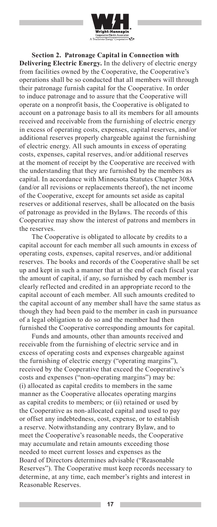

**Section 2. Patronage Capital in Connection with Delivering Electric Energy.** In the delivery of electric energy from facilities owned by the Cooperative, the Cooperative's operations shall be so conducted that all members will through their patronage furnish capital for the Cooperative. In order to induce patronage and to assure that the Cooperative will operate on a nonprofit basis, the Cooperative is obligated to account on a patronage basis to all its members for all amounts received and receivable from the furnishing of electric energy in excess of operating costs, expenses, capital reserves, and/or additional reserves properly chargeable against the furnishing of electric energy. All such amounts in excess of operating costs, expenses, capital reserves, and/or additional reserves at the moment of receipt by the Cooperative are received with the understanding that they are furnished by the members as capital. In accordance with Minnesota Statutes Chapter 308A (and/or all revisions or replacements thereof), the net income of the Cooperative, except for amounts set aside as capital reserves or additional reserves, shall be allocated on the basis of patronage as provided in the Bylaws. The records of this Cooperative may show the interest of patrons and members in the reserves.

The Cooperative is obligated to allocate by credits to a capital account for each member all such amounts in excess of operating costs, expenses, capital reserves, and/or additional reserves. The books and records of the Cooperative shall be set up and kept in such a manner that at the end of each fiscal year the amount of capital, if any, so furnished by each member is clearly reflected and credited in an appropriate record to the capital account of each member. All such amounts credited to the capital account of any member shall have the same status as though they had been paid to the member in cash in pursuance of a legal obligation to do so and the member had then furnished the Cooperative corresponding amounts for capital.

Funds and amounts, other than amounts received and receivable from the furnishing of electric service and in excess of operating costs and expenses chargeable against the furnishing of electric energy ("operating margins"), received by the Cooperative that exceed the Cooperative's costs and expenses ("non-operating margins") may be: (i) allocated as capital credits to members in the same manner as the Cooperative allocates operating margins as capital credits to members; or (ii) retained or used by the Cooperative as non- allocated capital and used to pay or offset any indebtedness, cost, expense, or to establish a reserve. Notwithstanding any contrary Bylaw, and to meet the Cooperative's reasonable needs, the Cooperative may accumulate and retain amounts exceeding those needed to meet current losses and expenses as the Board of Directors determines advisable ("Reasonable Reserves"). The Cooperative must keep records necessary to determine, at any time, each member's rights and interest in Reasonable Reserves.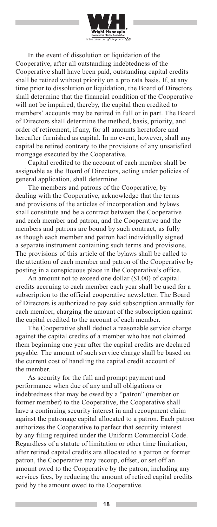

In the event of dissolution or liquidation of the Cooperative, after all outstanding indebtedness of the Cooperative shall have been paid, outstanding capital credits shall be retired without priority on a pro rata basis. If, at any time prior to dissolution or liquidation, the Board of Directors shall determine that the financial condition of the Cooperative will not be impaired, thereby, the capital then credited to members' accounts may be retired in full or in part. The Board of Directors shall determine the method, basis, priority, and order of retirement, if any, for all amounts heretofore and hereafter furnished as capital. In no event, however, shall any capital be retired contrary to the provisions of any unsatisfied mortgage executed by the Cooperative.

Capital credited to the account of each member shall be assignable as the Board of Directors, acting under policies of general application, shall determine.

The members and patrons of the Cooperative, by dealing with the Cooperative, acknowledge that the terms and provisions of the articles of incorporation and bylaws shall constitute and be a contract between the Cooperative and each member and patron, and the Cooperative and the members and patrons are bound by such contract, as fully as though each member and patron had individually signed a separate instrument containing such terms and provisions. The provisions of this article of the bylaws shall be called to the attention of each member and patron of the Cooperative by posting in a conspicuous place in the Cooperative's office.

An amount not to exceed one dollar (\$1.00) of capital credits accruing to each member each year shall be used for a subscription to the official cooperative newsletter. The Board of Directors is authorized to pay said subscription annually for each member, charging the amount of the subscription against the capital credited to the account of each member.

The Cooperative shall deduct a reasonable service charge against the capital credits of a member who has not claimed them beginning one year after the capital credits are declared payable. The amount of such service charge shall be based on the current cost of handling the capital credit account of the member.

As security for the full and prompt payment and performance when due of any and all obligations or indebtedness that may be owed by a "patron" (member or former member) to the Cooperative, the Cooperative shall have a continuing security interest in and recoupment claim against the patronage capital allocated to a patron. Each patron authorizes the Cooperative to perfect that security interest by any filing required under the Uniform Commercial Code. Regardless of a statute of limitation or other time limitation, after retired capital credits are allocated to a patron or former patron, the Cooperative may recoup, offset, or set off an amount owed to the Cooperative by the patron, including any services fees, by reducing the amount of retired capital credits paid by the amount owed to the Cooperative.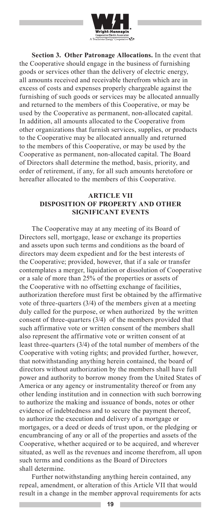

**Section 3. Other Patronage Allocations.** In the event that the Cooperative should engage in the business of furnishing goods or services other than the delivery of electric energy, all amounts received and receivable therefrom which are in excess of costs and expenses properly chargeable against the furnishing of such goods or services may be allocated annually and returned to the members of this Cooperative, or may be used by the Cooperative as permanent, non-allocated capital. In addition, all amounts allocated to the Cooperative from other organizations that furnish services, supplies, or products to the Cooperative may be allocated annually and returned to the members of this Cooperative, or may be used by the Cooperative as permanent, non-allocated capital. The Board of Directors shall determine the method, basis, priority, and order of retirement, if any, for all such amounts heretofore or hereafter allocated to the members of this Cooperative.

#### **ARTICLE VII DISPOSITION OF PROPERTY AND OTHER SIGNIFICANT EVENTS**

The Cooperative may at any meeting of its Board of Directors sell, mortgage, lease or exchange its properties and assets upon such terms and conditions as the board of directors may deem expedient and for the best interests of the Cooperative; provided, however, that if a sale or transfer contemplates a merger, liquidation or dissolution of Cooperative or a sale of more than 25% of the properties or assets of the Cooperative with no offsetting exchange of facilities, authorization therefore must first be obtained by the affirmative vote of three-quarters (3/4) of the members given at a meeting duly called for the purpose, or when authorized by the written consent of three-quarters (3/4) of the members provided that such affirmative vote or written consent of the members shall also represent the affirmative vote or written consent of at least three-quarters (3/4) of the total number of members of the Cooperative with voting rights; and provided further, however, that notwithstanding anything herein contained, the board of directors without authorization by the members shall have full power and authority to borrow money from the United States of America or any agency or instrumentality thereof or from any other lending institution and in connection with such borrowing to authorize the making and issuance of bonds, notes or other evidence of indebtedness and to secure the payment thereof, to authorize the execution and delivery of a mortgage or mortgages, or a deed or deeds of trust upon, or the pledging or encumbrancing of any or all of the properties and assets of the Cooperative, whether acquired or to be acquired, and wherever situated, as well as the revenues and income therefrom, all upon such terms and conditions as the Board of Directors shall determine.

Further notwithstanding anything herein contained, any repeal, amendment, or alteration of this Article VII that would result in a change in the member approval requirements for acts